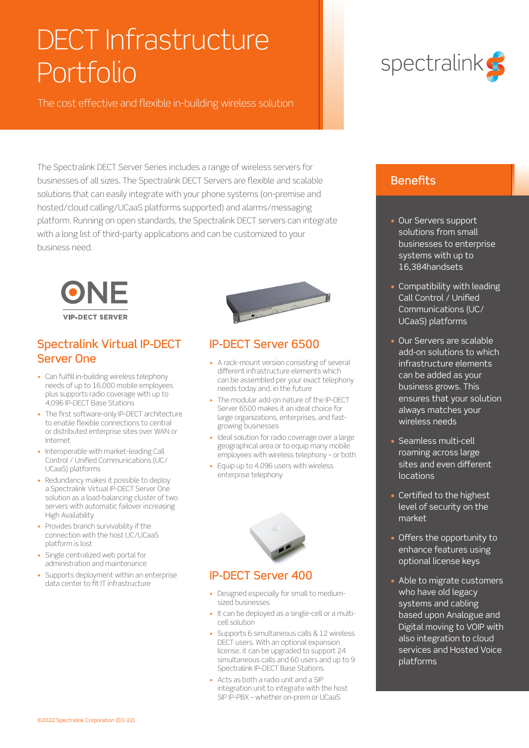## DECT Infrastructure Portfolio

The cost effective and flexible in-building wireless solution

The Spectralink DECT Server Series includes a range of wireless servers for businesses of all sizes. The Spectralink DECT Servers are flexible and scalable solutions that can easily integrate with your phone systems (on-premise and hosted/cloud calling/UCaaS platforms supported) and alarms/messaging platform. Running on open standards, the Spectralink DECT servers can integrate with a long list of third-party applications and can be customized to your business need.



### Spectralink Virtual IP-DECT Server One

- Can fulfill in-building wireless telephony needs of up to 16,000 mobile employees plus supports radio coverage with up to 4,096 IP-DECT Base Stations
- The first software-only IP-DECT architecture to enable flexible connections to central or distributed enterprise sites over WAN or Internet
- Interoperable with market-leading Call Control / Unified Communications (UC/ UCaaS) platforms
- Redundancy makes it possible to deploy a Spectralink Virtual IP-DECT Server One solution as a load-balancing cluster of two servers with automatic failover increasing High Availability
- Provides branch survivability if the connection with the host UC/UCaaS platform is lost
- Single centralized web portal for administration and maintenance
- Supports deployment within an enterprise data center to fit IT infrastructure



### IP-DECT Server 6500

- A rack-mount version consisting of several different infrastructure elements which can be assembled per your exact telephony needs today and, in the future
- The modular add-on nature of the IP-DECT Server 6500 makes it an ideal choice for large organizations, enterprises, and fastgrowing businesses
- Ideal solution for radio coverage over a large geographical area or to equip many mobile employees with wireless telephony – or both
- Equip up to 4,096 users with wireless enterprise telephony



### IP-DECT Server 400

- Designed especially for small to mediumsized businesses
- It can be deployed as a single-cell or a multicell solution
- Supports 6 simultaneous calls & 12 wireless DECT users. With an optional expansion license, it can be upgraded to support 24 simultaneous calls and 60 users and up to 9 Spectralink IP-DECT Base Stations.
- Acts as both a radio unit and a SIP integration unit to integrate with the host SIP IP-PBX – whether on-prem or UCaaS



### **Benefits**

- Our Servers support solutions from small businesses to enterprise systems with up to 16,384handsets
- Compatibility with leading Call Control / Unified Communications (UC/ UCaaS) platforms
- Our Servers are scalable add-on solutions to which infrastructure elements can be added as your business grows. This ensures that your solution always matches your wireless needs
- Seamless multi-cell roaming across large sites and even different locations
- Certified to the highest level of security on the market
- Offers the opportunity to enhance features using optional license keys
- Able to migrate customers who have old legacy systems and cabling based upon Analogue and Digital moving to VOIP with also integration to cloud services and Hosted Voice platforms